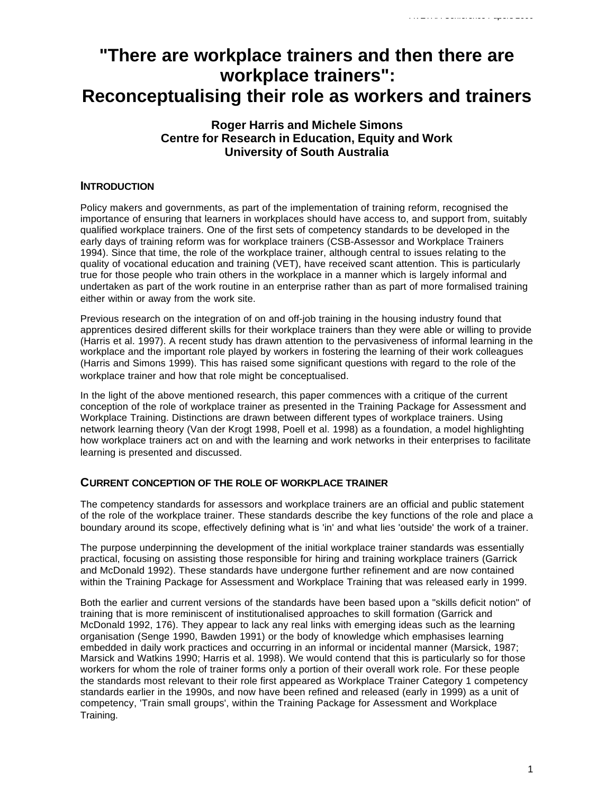# **"There are workplace trainers and then there are workplace trainers": Reconceptualising their role as workers and trainers**

# **Roger Harris and Michele Simons Centre for Research in Education, Equity and Work University of South Australia**

## **INTRODUCTION**

Policy makers and governments, as part of the implementation of training reform, recognised the importance of ensuring that learners in workplaces should have access to, and support from, suitably qualified workplace trainers. One of the first sets of competency standards to be developed in the early days of training reform was for workplace trainers (CSB-Assessor and Workplace Trainers 1994). Since that time, the role of the workplace trainer, although central to issues relating to the quality of vocational education and training (VET), have received scant attention. This is particularly true for those people who train others in the workplace in a manner which is largely informal and undertaken as part of the work routine in an enterprise rather than as part of more formalised training either within or away from the work site.

Previous research on the integration of on and off-job training in the housing industry found that apprentices desired different skills for their workplace trainers than they were able or willing to provide (Harris et al. 1997). A recent study has drawn attention to the pervasiveness of informal learning in the workplace and the important role played by workers in fostering the learning of their work colleagues (Harris and Simons 1999). This has raised some significant questions with regard to the role of the workplace trainer and how that role might be conceptualised.

In the light of the above mentioned research, this paper commences with a critique of the current conception of the role of workplace trainer as presented in the Training Package for Assessment and Workplace Training. Distinctions are drawn between different types of workplace trainers. Using network learning theory (Van der Krogt 1998, Poell et al. 1998) as a foundation, a model highlighting how workplace trainers act on and with the learning and work networks in their enterprises to facilitate learning is presented and discussed.

## **CURRENT CONCEPTION OF THE ROLE OF WORKPLACE TRAINER**

The competency standards for assessors and workplace trainers are an official and public statement of the role of the workplace trainer. These standards describe the key functions of the role and place a boundary around its scope, effectively defining what is 'in' and what lies 'outside' the work of a trainer.

The purpose underpinning the development of the initial workplace trainer standards was essentially practical, focusing on assisting those responsible for hiring and training workplace trainers (Garrick and McDonald 1992). These standards have undergone further refinement and are now contained within the Training Package for Assessment and Workplace Training that was released early in 1999.

Both the earlier and current versions of the standards have been based upon a "skills deficit notion" of training that is more reminiscent of institutionalised approaches to skill formation (Garrick and McDonald 1992, 176). They appear to lack any real links with emerging ideas such as the learning organisation (Senge 1990, Bawden 1991) or the body of knowledge which emphasises learning embedded in daily work practices and occurring in an informal or incidental manner (Marsick, 1987; Marsick and Watkins 1990; Harris et al. 1998). We would contend that this is particularly so for those workers for whom the role of trainer forms only a portion of their overall work role. For these people the standards most relevant to their role first appeared as Workplace Trainer Category 1 competency standards earlier in the 1990s, and now have been refined and released (early in 1999) as a unit of competency, 'Train small groups', within the Training Package for Assessment and Workplace Training.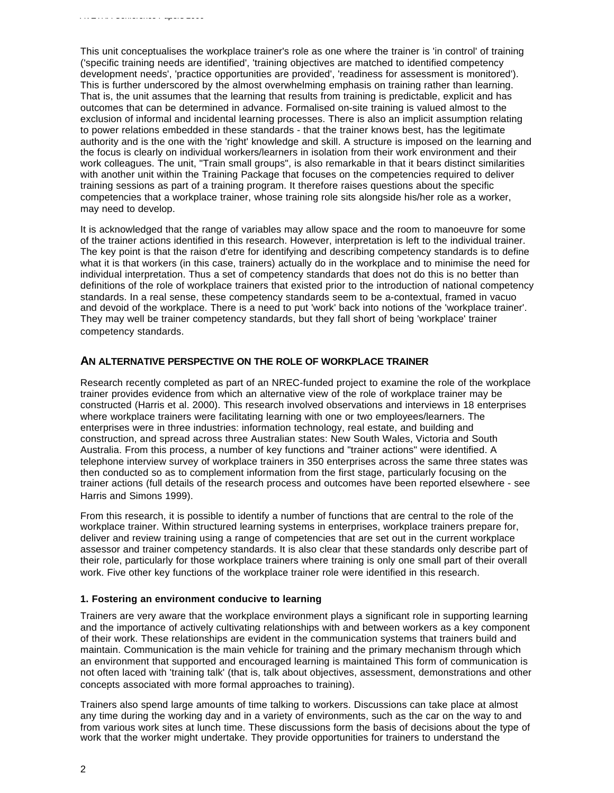This unit conceptualises the workplace trainer's role as one where the trainer is 'in control' of training ('specific training needs are identified', 'training objectives are matched to identified competency development needs', 'practice opportunities are provided', 'readiness for assessment is monitored'). This is further underscored by the almost overwhelming emphasis on training rather than learning. That is, the unit assumes that the learning that results from training is predictable, explicit and has outcomes that can be determined in advance. Formalised on-site training is valued almost to the exclusion of informal and incidental learning processes. There is also an implicit assumption relating to power relations embedded in these standards - that the trainer knows best, has the legitimate authority and is the one with the 'right' knowledge and skill. A structure is imposed on the learning and the focus is clearly on individual workers/learners in isolation from their work environment and their work colleagues. The unit, "Train small groups", is also remarkable in that it bears distinct similarities with another unit within the Training Package that focuses on the competencies required to deliver training sessions as part of a training program. It therefore raises questions about the specific competencies that a workplace trainer, whose training role sits alongside his/her role as a worker, may need to develop.

It is acknowledged that the range of variables may allow space and the room to manoeuvre for some of the trainer actions identified in this research. However, interpretation is left to the individual trainer. The key point is that the raison d'etre for identifying and describing competency standards is to define what it is that workers (in this case, trainers) actually do in the workplace and to minimise the need for individual interpretation. Thus a set of competency standards that does not do this is no better than definitions of the role of workplace trainers that existed prior to the introduction of national competency standards. In a real sense, these competency standards seem to be a-contextual, framed in vacuo and devoid of the workplace. There is a need to put 'work' back into notions of the 'workplace trainer'. They may well be trainer competency standards, but they fall short of being 'workplace' trainer competency standards.

#### **AN ALTERNATIVE PERSPECTIVE ON THE ROLE OF WORKPLACE TRAINER**

Research recently completed as part of an NREC-funded project to examine the role of the workplace trainer provides evidence from which an alternative view of the role of workplace trainer may be constructed (Harris et al. 2000). This research involved observations and interviews in 18 enterprises where workplace trainers were facilitating learning with one or two employees/learners. The enterprises were in three industries: information technology, real estate, and building and construction, and spread across three Australian states: New South Wales, Victoria and South Australia. From this process, a number of key functions and "trainer actions" were identified. A telephone interview survey of workplace trainers in 350 enterprises across the same three states was then conducted so as to complement information from the first stage, particularly focusing on the trainer actions (full details of the research process and outcomes have been reported elsewhere - see Harris and Simons 1999).

From this research, it is possible to identify a number of functions that are central to the role of the workplace trainer. Within structured learning systems in enterprises, workplace trainers prepare for, deliver and review training using a range of competencies that are set out in the current workplace assessor and trainer competency standards. It is also clear that these standards only describe part of their role, particularly for those workplace trainers where training is only one small part of their overall work. Five other key functions of the workplace trainer role were identified in this research.

#### **1. Fostering an environment conducive to learning**

Trainers are very aware that the workplace environment plays a significant role in supporting learning and the importance of actively cultivating relationships with and between workers as a key component of their work. These relationships are evident in the communication systems that trainers build and maintain. Communication is the main vehicle for training and the primary mechanism through which an environment that supported and encouraged learning is maintained This form of communication is not often laced with 'training talk' (that is, talk about objectives, assessment, demonstrations and other concepts associated with more formal approaches to training).

Trainers also spend large amounts of time talking to workers. Discussions can take place at almost any time during the working day and in a variety of environments, such as the car on the way to and from various work sites at lunch time. These discussions form the basis of decisions about the type of work that the worker might undertake. They provide opportunities for trainers to understand the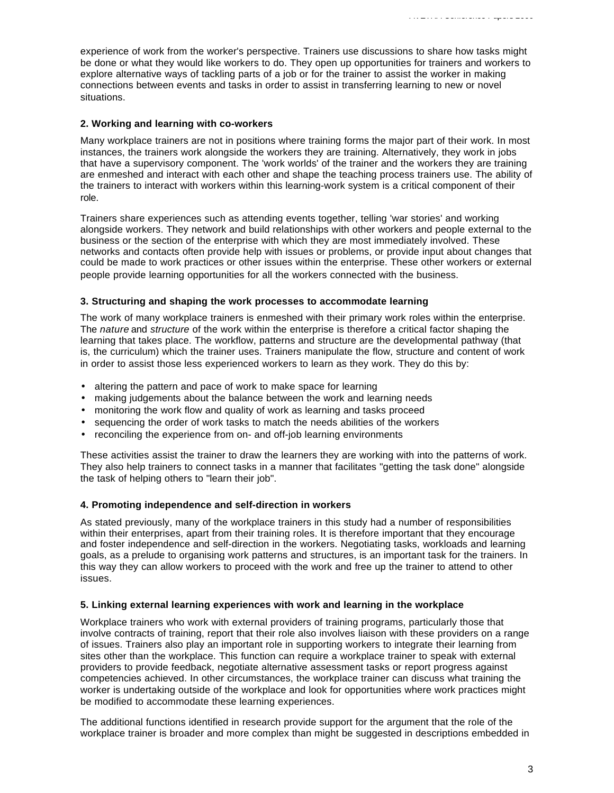experience of work from the worker's perspective. Trainers use discussions to share how tasks might be done or what they would like workers to do. They open up opportunities for trainers and workers to explore alternative ways of tackling parts of a job or for the trainer to assist the worker in making connections between events and tasks in order to assist in transferring learning to new or novel situations.

#### **2. Working and learning with co-workers**

Many workplace trainers are not in positions where training forms the major part of their work. In most instances, the trainers work alongside the workers they are training. Alternatively, they work in jobs that have a supervisory component. The 'work worlds' of the trainer and the workers they are training are enmeshed and interact with each other and shape the teaching process trainers use. The ability of the trainers to interact with workers within this learning-work system is a critical component of their role.

Trainers share experiences such as attending events together, telling 'war stories' and working alongside workers. They network and build relationships with other workers and people external to the business or the section of the enterprise with which they are most immediately involved. These networks and contacts often provide help with issues or problems, or provide input about changes that could be made to work practices or other issues within the enterprise. These other workers or external people provide learning opportunities for all the workers connected with the business.

#### **3. Structuring and shaping the work processes to accommodate learning**

The work of many workplace trainers is enmeshed with their primary work roles within the enterprise. The *nature* and *structure* of the work within the enterprise is therefore a critical factor shaping the learning that takes place. The workflow, patterns and structure are the developmental pathway (that is, the curriculum) which the trainer uses. Trainers manipulate the flow, structure and content of work in order to assist those less experienced workers to learn as they work. They do this by:

- altering the pattern and pace of work to make space for learning
- making judgements about the balance between the work and learning needs
- monitoring the work flow and quality of work as learning and tasks proceed
- sequencing the order of work tasks to match the needs abilities of the workers
- reconciling the experience from on- and off-job learning environments

These activities assist the trainer to draw the learners they are working with into the patterns of work. They also help trainers to connect tasks in a manner that facilitates "getting the task done" alongside the task of helping others to "learn their job".

#### **4. Promoting independence and self-direction in workers**

As stated previously, many of the workplace trainers in this study had a number of responsibilities within their enterprises, apart from their training roles. It is therefore important that they encourage and foster independence and self-direction in the workers. Negotiating tasks, workloads and learning goals, as a prelude to organising work patterns and structures, is an important task for the trainers. In this way they can allow workers to proceed with the work and free up the trainer to attend to other issues.

#### **5. Linking external learning experiences with work and learning in the workplace**

Workplace trainers who work with external providers of training programs, particularly those that involve contracts of training, report that their role also involves liaison with these providers on a range of issues. Trainers also play an important role in supporting workers to integrate their learning from sites other than the workplace. This function can require a workplace trainer to speak with external providers to provide feedback, negotiate alternative assessment tasks or report progress against competencies achieved. In other circumstances, the workplace trainer can discuss what training the worker is undertaking outside of the workplace and look for opportunities where work practices might be modified to accommodate these learning experiences.

The additional functions identified in research provide support for the argument that the role of the workplace trainer is broader and more complex than might be suggested in descriptions embedded in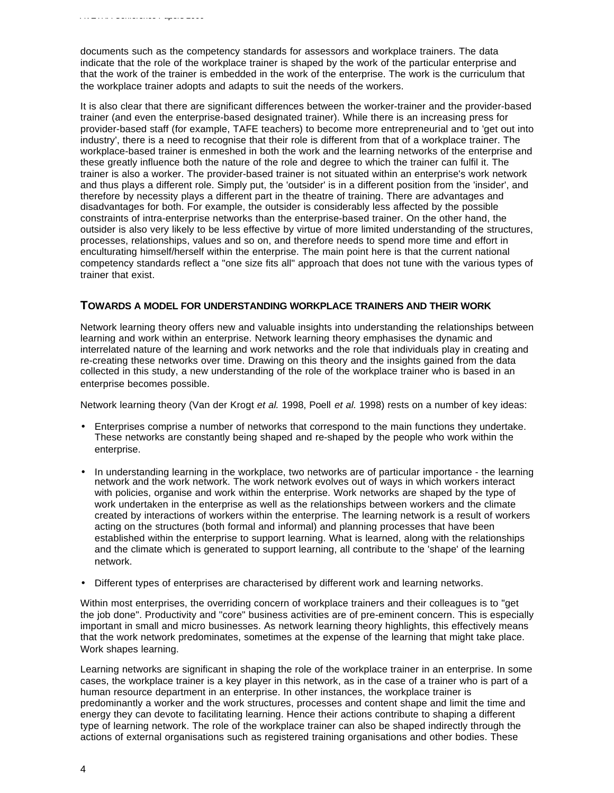documents such as the competency standards for assessors and workplace trainers. The data indicate that the role of the workplace trainer is shaped by the work of the particular enterprise and that the work of the trainer is embedded in the work of the enterprise. The work is the curriculum that the workplace trainer adopts and adapts to suit the needs of the workers.

It is also clear that there are significant differences between the worker-trainer and the provider-based trainer (and even the enterprise-based designated trainer). While there is an increasing press for provider-based staff (for example, TAFE teachers) to become more entrepreneurial and to 'get out into industry', there is a need to recognise that their role is different from that of a workplace trainer. The workplace-based trainer is enmeshed in both the work and the learning networks of the enterprise and these greatly influence both the nature of the role and degree to which the trainer can fulfil it. The trainer is also a worker. The provider-based trainer is not situated within an enterprise's work network and thus plays a different role. Simply put, the 'outsider' is in a different position from the 'insider', and therefore by necessity plays a different part in the theatre of training. There are advantages and disadvantages for both. For example, the outsider is considerably less affected by the possible constraints of intra-enterprise networks than the enterprise-based trainer. On the other hand, the outsider is also very likely to be less effective by virtue of more limited understanding of the structures, processes, relationships, values and so on, and therefore needs to spend more time and effort in enculturating himself/herself within the enterprise. The main point here is that the current national competency standards reflect a "one size fits all" approach that does not tune with the various types of trainer that exist.

## **TOWARDS A MODEL FOR UNDERSTANDING WORKPLACE TRAINERS AND THEIR WORK**

Network learning theory offers new and valuable insights into understanding the relationships between learning and work within an enterprise. Network learning theory emphasises the dynamic and interrelated nature of the learning and work networks and the role that individuals play in creating and re-creating these networks over time. Drawing on this theory and the insights gained from the data collected in this study, a new understanding of the role of the workplace trainer who is based in an enterprise becomes possible.

Network learning theory (Van der Krogt *et al.* 1998, Poell *et al.* 1998) rests on a number of key ideas:

- Enterprises comprise a number of networks that correspond to the main functions they undertake. These networks are constantly being shaped and re-shaped by the people who work within the enterprise.
- In understanding learning in the workplace, two networks are of particular importance the learning network and the work network. The work network evolves out of ways in which workers interact with policies, organise and work within the enterprise. Work networks are shaped by the type of work undertaken in the enterprise as well as the relationships between workers and the climate created by interactions of workers within the enterprise. The learning network is a result of workers acting on the structures (both formal and informal) and planning processes that have been established within the enterprise to support learning. What is learned, along with the relationships and the climate which is generated to support learning, all contribute to the 'shape' of the learning network.
- Different types of enterprises are characterised by different work and learning networks.

Within most enterprises, the overriding concern of workplace trainers and their colleagues is to "get the job done". Productivity and "core" business activities are of pre-eminent concern. This is especially important in small and micro businesses. As network learning theory highlights, this effectively means that the work network predominates, sometimes at the expense of the learning that might take place. Work shapes learning.

Learning networks are significant in shaping the role of the workplace trainer in an enterprise. In some cases, the workplace trainer is a key player in this network, as in the case of a trainer who is part of a human resource department in an enterprise. In other instances, the workplace trainer is predominantly a worker and the work structures, processes and content shape and limit the time and energy they can devote to facilitating learning. Hence their actions contribute to shaping a different type of learning network. The role of the workplace trainer can also be shaped indirectly through the actions of external organisations such as registered training organisations and other bodies. These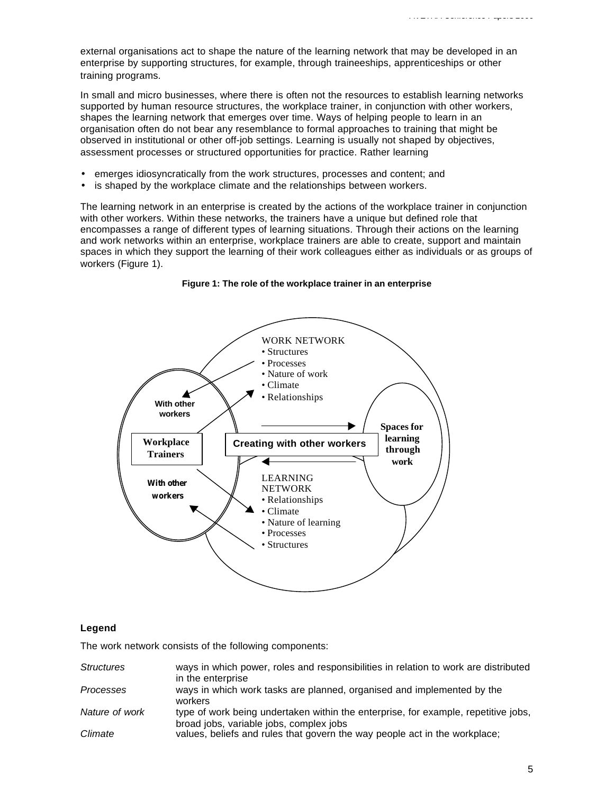external organisations act to shape the nature of the learning network that may be developed in an enterprise by supporting structures, for example, through traineeships, apprenticeships or other training programs.

In small and micro businesses, where there is often not the resources to establish learning networks supported by human resource structures, the workplace trainer, in conjunction with other workers, shapes the learning network that emerges over time. Ways of helping people to learn in an organisation often do not bear any resemblance to formal approaches to training that might be observed in institutional or other off-job settings. Learning is usually not shaped by objectives, assessment processes or structured opportunities for practice. Rather learning

- emerges idiosyncratically from the work structures, processes and content; and
- is shaped by the workplace climate and the relationships between workers.

The learning network in an enterprise is created by the actions of the workplace trainer in conjunction with other workers. Within these networks, the trainers have a unique but defined role that encompasses a range of different types of learning situations. Through their actions on the learning and work networks within an enterprise, workplace trainers are able to create, support and maintain spaces in which they support the learning of their work colleagues either as individuals or as groups of workers (Figure 1).



#### **Figure 1: The role of the workplace trainer in an enterprise**

#### **Legend**

The work network consists of the following components:

| <b>Structures</b> | ways in which power, roles and responsibilities in relation to work are distributed<br>in the enterprise                      |
|-------------------|-------------------------------------------------------------------------------------------------------------------------------|
| Processes         | ways in which work tasks are planned, organised and implemented by the<br>workers                                             |
| Nature of work    | type of work being undertaken within the enterprise, for example, repetitive jobs,<br>broad jobs, variable jobs, complex jobs |
| Climate           | values, beliefs and rules that govern the way people act in the workplace;                                                    |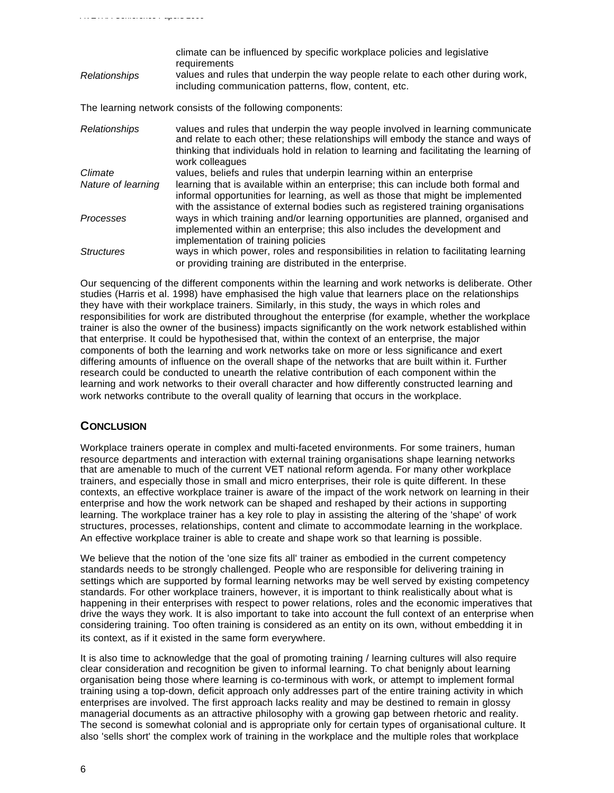climate can be influenced by specific workplace policies and legislative requirements *Relationships* values and rules that underpin the way people relate to each other during work, including communication patterns, flow, content, etc. The learning network consists of the following components: *Relationships* values and rules that underpin the way people involved in learning communicate and relate to each other; these relationships will embody the stance and ways of thinking that individuals hold in relation to learning and facilitating the learning of work colleagues

*Climate* values, beliefs and rules that underpin learning within an enterprise *Nature of learning* learning that is available within an enterprise; this can include both formal and informal opportunities for learning, as well as those that might be implemented with the assistance of external bodies such as registered training organisations *Processes* ways in which training and/or learning opportunities are planned, organised and implemented within an enterprise; this also includes the development and implementation of training policies *Structures* ways in which power, roles and responsibilities in relation to facilitating learning or providing training are distributed in the enterprise.

Our sequencing of the different components within the learning and work networks is deliberate. Other studies (Harris et al. 1998) have emphasised the high value that learners place on the relationships they have with their workplace trainers. Similarly, in this study, the ways in which roles and responsibilities for work are distributed throughout the enterprise (for example, whether the workplace trainer is also the owner of the business) impacts significantly on the work network established within that enterprise. It could be hypothesised that, within the context of an enterprise, the major components of both the learning and work networks take on more or less significance and exert differing amounts of influence on the overall shape of the networks that are built within it. Further research could be conducted to unearth the relative contribution of each component within the learning and work networks to their overall character and how differently constructed learning and work networks contribute to the overall quality of learning that occurs in the workplace.

## **CONCLUSION**

*AVETRA Conference Papers 2000*

Workplace trainers operate in complex and multi-faceted environments. For some trainers, human resource departments and interaction with external training organisations shape learning networks that are amenable to much of the current VET national reform agenda. For many other workplace trainers, and especially those in small and micro enterprises, their role is quite different. In these contexts, an effective workplace trainer is aware of the impact of the work network on learning in their enterprise and how the work network can be shaped and reshaped by their actions in supporting learning. The workplace trainer has a key role to play in assisting the altering of the 'shape' of work structures, processes, relationships, content and climate to accommodate learning in the workplace. An effective workplace trainer is able to create and shape work so that learning is possible.

We believe that the notion of the 'one size fits all' trainer as embodied in the current competency standards needs to be strongly challenged. People who are responsible for delivering training in settings which are supported by formal learning networks may be well served by existing competency standards. For other workplace trainers, however, it is important to think realistically about what is happening in their enterprises with respect to power relations, roles and the economic imperatives that drive the ways they work. It is also important to take into account the full context of an enterprise when considering training. Too often training is considered as an entity on its own, without embedding it in its context, as if it existed in the same form everywhere.

It is also time to acknowledge that the goal of promoting training / learning cultures will also require clear consideration and recognition be given to informal learning. To chat benignly about learning organisation being those where learning is co-terminous with work, or attempt to implement formal training using a top-down, deficit approach only addresses part of the entire training activity in which enterprises are involved. The first approach lacks reality and may be destined to remain in glossy managerial documents as an attractive philosophy with a growing gap between rhetoric and reality. The second is somewhat colonial and is appropriate only for certain types of organisational culture. It also 'sells short' the complex work of training in the workplace and the multiple roles that workplace